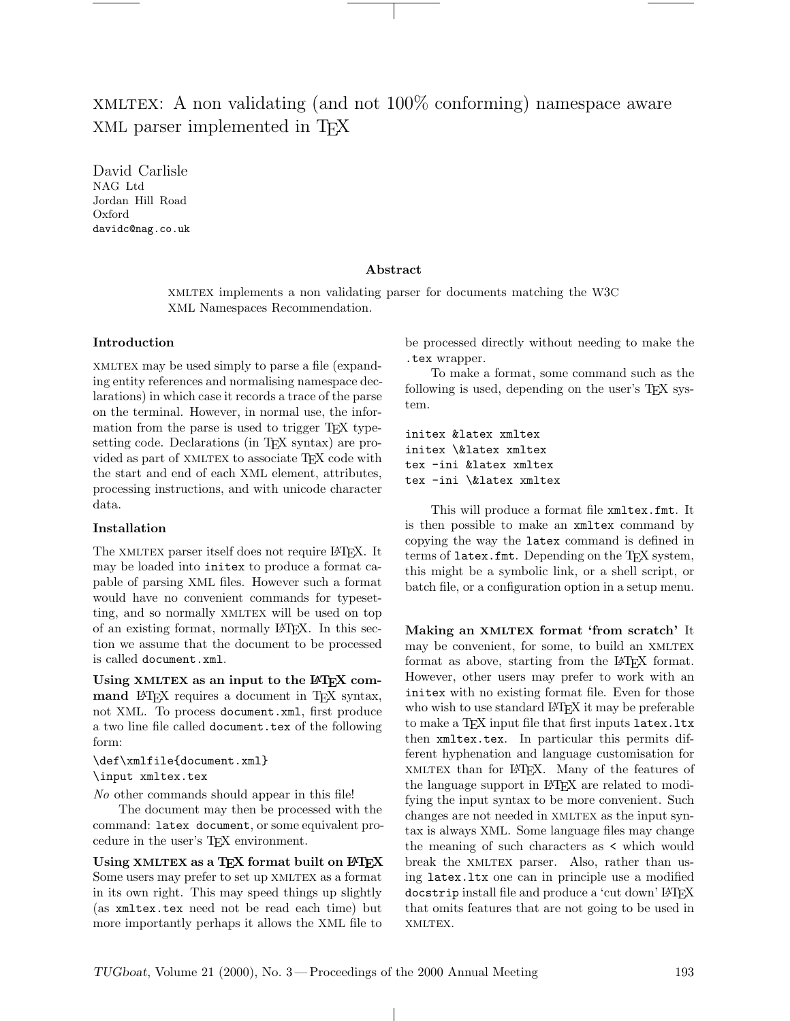# xmltex: A non validating (and not 100% conforming) namespace aware XML parser implemented in T<sub>EX</sub>

David Carlisle NAG Ltd Jordan Hill Road Oxford davidc@nag.co.uk

### Abstract

xmltex implements a non validating parser for documents matching the W3C XML Namespaces Recommendation.

#### Introduction

xmltex may be used simply to parse a file (expanding entity references and normalising namespace declarations) in which case it records a trace of the parse on the terminal. However, in normal use, the information from the parse is used to trigger T<sub>EX</sub> typesetting code. Declarations (in TEX syntax) are provided as part of XMLTEX to associate T<sub>E</sub>X code with the start and end of each XML element, attributes, processing instructions, and with unicode character data.

### Installation

The XMLTEX parser itself does not require LATEX. It may be loaded into initex to produce a format capable of parsing XML files. However such a format would have no convenient commands for typesetting, and so normally XMLTEX will be used on top of an existing format, normally LATEX. In this section we assume that the document to be processed is called document.xml.

Using XMLTEX as an input to the LATEX command LAT<sub>E</sub>X requires a document in T<sub>E</sub>X syntax, not XML. To process document.xml, first produce a two line file called document.tex of the following form:

\def\xmlfile{document.xml} \input xmltex.tex

No other commands should appear in this file!

The document may then be processed with the command: latex document, or some equivalent procedure in the user's TEX environment.

Using XMLTEX as a  $T_{E}X$  format built on  $E_{E}X$ Some users may prefer to set up XMLTEX as a format in its own right. This may speed things up slightly (as xmltex.tex need not be read each time) but more importantly perhaps it allows the XML file to

be processed directly without needing to make the .tex wrapper.

To make a format, some command such as the following is used, depending on the user's TEX system.

initex &latex xmltex initex \&latex xmltex tex -ini &latex xmltex tex -ini \&latex xmltex

This will produce a format file xmltex.fmt. It is then possible to make an xmltex command by copying the way the latex command is defined in terms of latex.fmt. Depending on the TFX system, this might be a symbolic link, or a shell script, or batch file, or a configuration option in a setup menu.

Making an XMLTEX format 'from scratch' It may be convenient, for some, to build an XMLTEX format as above, starting from the LAT<sub>F</sub>X format. However, other users may prefer to work with an initex with no existing format file. Even for those who wish to use standard LAT<sub>EX</sub> it may be preferable to make a T<sub>F</sub>X input file that first inputs latex.ltx then xmltex.tex. In particular this permits different hyphenation and language customisation for xmltex than for LATEX. Many of the features of the language support in L<sup>AT</sup>FX are related to modifying the input syntax to be more convenient. Such changes are not needed in XMLTEX as the input syntax is always XML. Some language files may change the meaning of such characters as < which would break the XMLTEX parser. Also, rather than using latex.ltx one can in principle use a modified docstrip install file and produce a 'cut down' LATEX that omits features that are not going to be used in xmltex.

 $\mathbb{R}$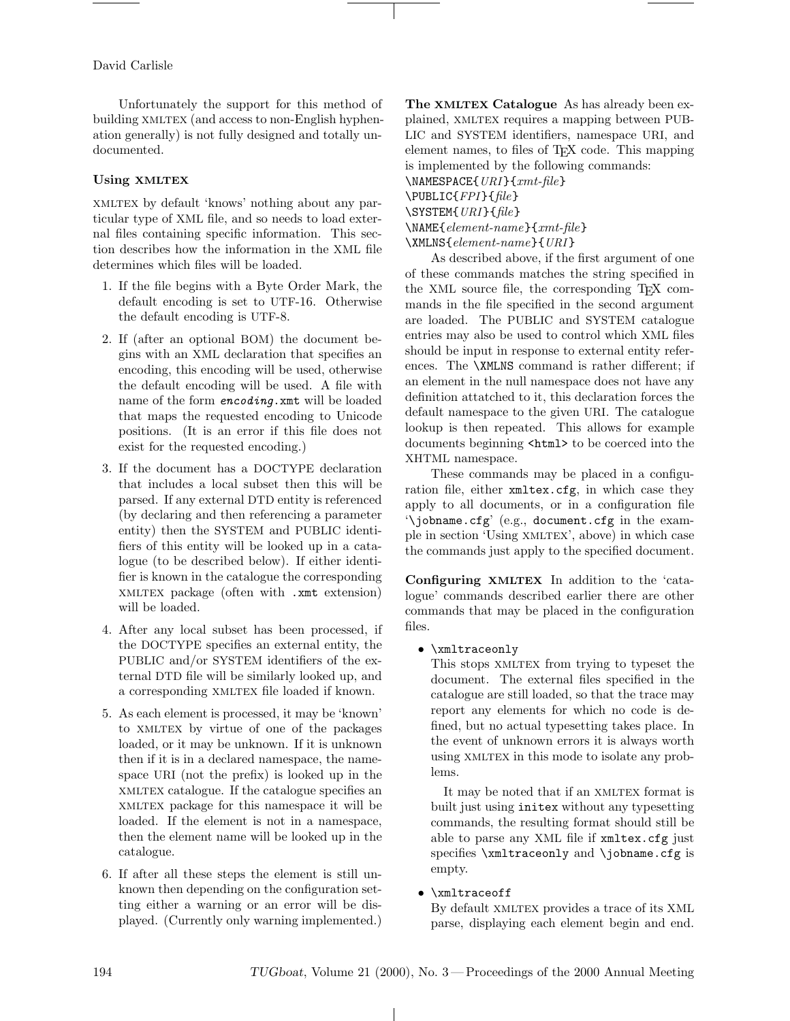David Carlisle

Unfortunately the support for this method of building XMLTEX (and access to non-English hyphenation generally) is not fully designed and totally undocumented.

# Using XMLTEX

xmltex by default 'knows' nothing about any particular type of XML file, and so needs to load external files containing specific information. This section describes how the information in the XML file determines which files will be loaded.

- 1. If the file begins with a Byte Order Mark, the default encoding is set to UTF-16. Otherwise the default encoding is UTF-8.
- 2. If (after an optional BOM) the document begins with an XML declaration that specifies an encoding, this encoding will be used, otherwise the default encoding will be used. A file with name of the form **encoding**. xmt will be loaded that maps the requested encoding to Unicode positions. (It is an error if this file does not exist for the requested encoding.)
- 3. If the document has a DOCTYPE declaration that includes a local subset then this will be parsed. If any external DTD entity is referenced (by declaring and then referencing a parameter entity) then the SYSTEM and PUBLIC identifiers of this entity will be looked up in a catalogue (to be described below). If either identifier is known in the catalogue the corresponding xmltex package (often with .xmt extension) will be loaded.
- 4. After any local subset has been processed, if the DOCTYPE specifies an external entity, the PUBLIC and/or SYSTEM identifiers of the external DTD file will be similarly looked up, and a corresponding XMLTEX file loaded if known.
- 5. As each element is processed, it may be 'known' to XMLTEX by virtue of one of the packages loaded, or it may be unknown. If it is unknown then if it is in a declared namespace, the namespace URI (not the prefix) is looked up in the xmltex catalogue. If the catalogue specifies an xmltex package for this namespace it will be loaded. If the element is not in a namespace, then the element name will be looked up in the catalogue.
- 6. If after all these steps the element is still unknown then depending on the configuration setting either a warning or an error will be displayed. (Currently only warning implemented.)

The XMLTEX Catalogue As has already been explained, XMLTEX requires a mapping between PUB-LIC and SYSTEM identifiers, namespace URI, and element names, to files of TEX code. This mapping is implemented by the following commands: \NAMESPACE{URI }{xmt-file}

 $\text{PUBLIC{FPI}{file}$ \SYSTEM{URI }{file}

\NAME{element-name}{xmt-file}

\XMLNS{element-name}{URI }

As described above, if the first argument of one of these commands matches the string specified in the XML source file, the corresponding TEX commands in the file specified in the second argument are loaded. The PUBLIC and SYSTEM catalogue entries may also be used to control which XML files should be input in response to external entity references. The \XMLNS command is rather different; if an element in the null namespace does not have any definition attatched to it, this declaration forces the default namespace to the given URI. The catalogue lookup is then repeated. This allows for example documents beginning <html> to be coerced into the XHTML namespace.

These commands may be placed in a configuration file, either xmltex.cfg, in which case they apply to all documents, or in a configuration file '\jobname.cfg' (e.g., document.cfg in the example in section 'Using XMLTEX', above) in which case the commands just apply to the specified document.

Configuring XMLTEX In addition to the 'catalogue' commands described earlier there are other commands that may be placed in the configuration files.

• \xmltraceonly

This stops XMLTEX from trying to typeset the document. The external files specified in the catalogue are still loaded, so that the trace may report any elements for which no code is defined, but no actual typesetting takes place. In the event of unknown errors it is always worth using XMLTEX in this mode to isolate any problems.

It may be noted that if an XMLTEX format is built just using initex without any typesetting commands, the resulting format should still be able to parse any XML file if xmltex.cfg just specifies \xmltraceonly and \jobname.cfg is empty.

# • \xmltraceoff

By default XMLTEX provides a trace of its XML parse, displaying each element begin and end.

 $\perp$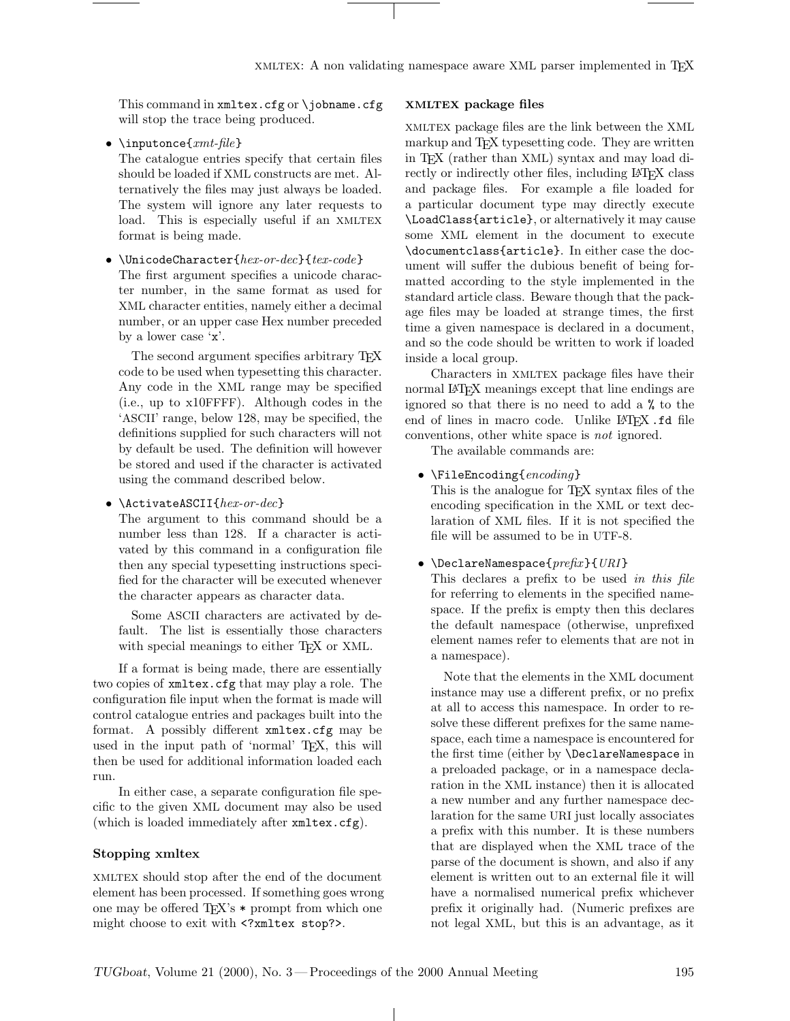This command in xmltex.cfg or \jobname.cfg will stop the trace being produced.

• \inputonce{ $xmt$ -file}

The catalogue entries specify that certain files should be loaded if XML constructs are met. Alternatively the files may just always be loaded. The system will ignore any later requests to load. This is especially useful if an XMLTEX format is being made.

• \UnicodeCharacter{hex-or-dec}{tex-code} The first argument specifies a unicode character number, in the same format as used for XML character entities, namely either a decimal number, or an upper case Hex number preceded by a lower case 'x'.

The second argument specifies arbitrary TEX code to be used when typesetting this character. Any code in the XML range may be specified (i.e., up to x10FFFF). Although codes in the 'ASCII' range, below 128, may be specified, the definitions supplied for such characters will not by default be used. The definition will however be stored and used if the character is activated using the command described below.

# •  $\Lambda \subset \Lambda \subset \Lambda$

The argument to this command should be a number less than 128. If a character is activated by this command in a configuration file then any special typesetting instructions specified for the character will be executed whenever the character appears as character data.

Some ASCII characters are activated by default. The list is essentially those characters with special meanings to either T<sub>F</sub>X or XML.

If a format is being made, there are essentially two copies of xmltex.cfg that may play a role. The configuration file input when the format is made will control catalogue entries and packages built into the format. A possibly different xmltex.cfg may be used in the input path of 'normal' T<sub>E</sub>X, this will then be used for additional information loaded each run.

In either case, a separate configuration file specific to the given XML document may also be used (which is loaded immediately after xmltex.cfg).

### Stopping xmltex

xmltex should stop after the end of the document element has been processed. If something goes wrong one may be offered  $T_{F}X$ 's  $*$  prompt from which one might choose to exit with <?xmltex stop?>.

## XMLTEX package files

xmltex package files are the link between the XML markup and TFX typesetting code. They are written in TEX (rather than XML) syntax and may load directly or indirectly other files, including LAT<sub>EX</sub> class and package files. For example a file loaded for a particular document type may directly execute \LoadClass{article}, or alternatively it may cause some XML element in the document to execute \documentclass{article}. In either case the document will suffer the dubious benefit of being formatted according to the style implemented in the standard article class. Beware though that the package files may be loaded at strange times, the first time a given namespace is declared in a document, and so the code should be written to work if loaded inside a local group.

Characters in XMLTEX package files have their normal LATEX meanings except that line endings are ignored so that there is no need to add a % to the end of lines in macro code. Unlike LAT<sub>F</sub>X.fd file conventions, other white space is not ignored.

The available commands are:

• \FileEncoding{encoding}

This is the analogue for T<sub>E</sub>X syntax files of the encoding specification in the XML or text declaration of XML files. If it is not specified the file will be assumed to be in UTF-8.

### • \DeclareNamespace{ $prefix$ }{ $URI$ }

This declares a prefix to be used in this file for referring to elements in the specified namespace. If the prefix is empty then this declares the default namespace (otherwise, unprefixed element names refer to elements that are not in a namespace).

Note that the elements in the XML document instance may use a different prefix, or no prefix at all to access this namespace. In order to resolve these different prefixes for the same namespace, each time a namespace is encountered for the first time (either by \DeclareNamespace in a preloaded package, or in a namespace declaration in the XML instance) then it is allocated a new number and any further namespace declaration for the same URI just locally associates a prefix with this number. It is these numbers that are displayed when the XML trace of the parse of the document is shown, and also if any element is written out to an external file it will have a normalised numerical prefix whichever prefix it originally had. (Numeric prefixes are not legal XML, but this is an advantage, as it

 $\mathbf{I}$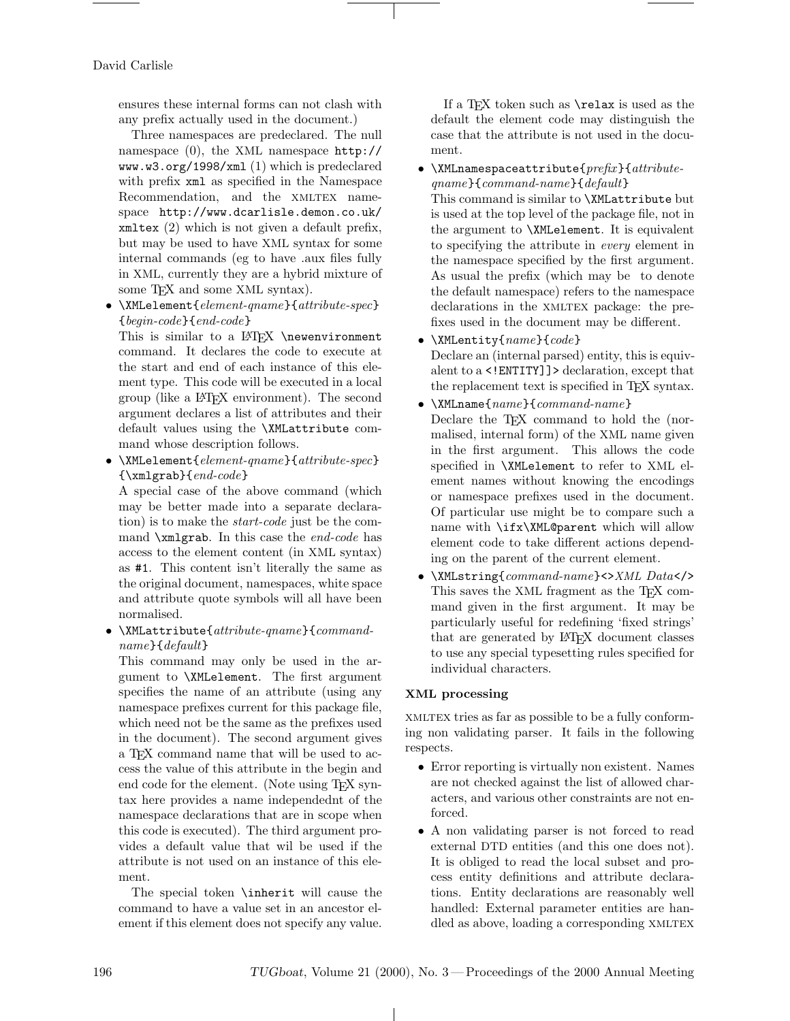David Carlisle

ensures these internal forms can not clash with any prefix actually used in the document.)

Three namespaces are predeclared. The null namespace (0), the XML namespace http:// www.w3.org/1998/xml (1) which is predeclared with prefix  $xml$  as specified in the Namespace Recommendation, and the XMLTEX namespace http://www.dcarlisle.demon.co.uk/ xmltex (2) which is not given a default prefix, but may be used to have XML syntax for some internal commands (eg to have .aux files fully in XML, currently they are a hybrid mixture of some TEX and some XML syntax).

• \XMLelement{element-qname}{attribute-spec} {begin-code}{end-code}

This is similar to a LAT<sub>FX</sub> \newenvironment command. It declares the code to execute at the start and end of each instance of this element type. This code will be executed in a local group (like a LATEX environment). The second argument declares a list of attributes and their default values using the \XMLattribute command whose description follows.

• \XMLelement{element-qname}{attribute-spec} {\xmlgrab}{end-code}

A special case of the above command (which may be better made into a separate declaration) is to make the start-code just be the command  $\mathrm{argraph}$ . In this case the end-code has access to the element content (in XML syntax) as #1. This content isn't literally the same as the original document, namespaces, white space and attribute quote symbols will all have been normalised.

• \XMLattribute{attribute-qname}{commandname}{default}

This command may only be used in the argument to \XMLelement. The first argument specifies the name of an attribute (using any namespace prefixes current for this package file, which need not be the same as the prefixes used in the document). The second argument gives a TEX command name that will be used to access the value of this attribute in the begin and end code for the element. (Note using TEX syntax here provides a name independednt of the namespace declarations that are in scope when this code is executed). The third argument provides a default value that wil be used if the attribute is not used on an instance of this element.

The special token \inherit will cause the command to have a value set in an ancestor element if this element does not specify any value.

If a TEX token such as \relax is used as the default the element code may distinguish the case that the attribute is not used in the document.

•  $\Lambda$ XMLnamespaceattribute{ $prefix$ }{attributeqname}{command-name}{default} This command is similar to \XMLattribute but

is used at the top level of the package file, not in the argument to \XMLelement. It is equivalent to specifying the attribute in every element in the namespace specified by the first argument. As usual the prefix (which may be to denote the default namespace) refers to the namespace declarations in the XMLTEX package: the prefixes used in the document may be different.

- $\M$ MLentity{ $name$ }{ $code$ } Declare an (internal parsed) entity, this is equivalent to a <!ENTITY]]> declaration, except that the replacement text is specified in TEX syntax.
- $\bullet$  \XMLname{ $name$ }{ $command-name$ } Declare the T<sub>EX</sub> command to hold the (normalised, internal form) of the XML name given in the first argument. This allows the code specified in \XMLelement to refer to XML element names without knowing the encodings or namespace prefixes used in the document. Of particular use might be to compare such a name with \ifx\XML@parent which will allow element code to take different actions depending on the parent of the current element.
- \XMLstring{command-name}<>XML Data</> This saves the XML fragment as the TEX command given in the first argument. It may be particularly useful for redefining 'fixed strings' that are generated by LATEX document classes to use any special typesetting rules specified for individual characters.

# XML processing

xmltex tries as far as possible to be a fully conforming non validating parser. It fails in the following respects.

- Error reporting is virtually non existent. Names are not checked against the list of allowed characters, and various other constraints are not enforced.
- A non validating parser is not forced to read external DTD entities (and this one does not). It is obliged to read the local subset and process entity definitions and attribute declarations. Entity declarations are reasonably well handled: External parameter entities are handled as above, loading a corresponding XMLTEX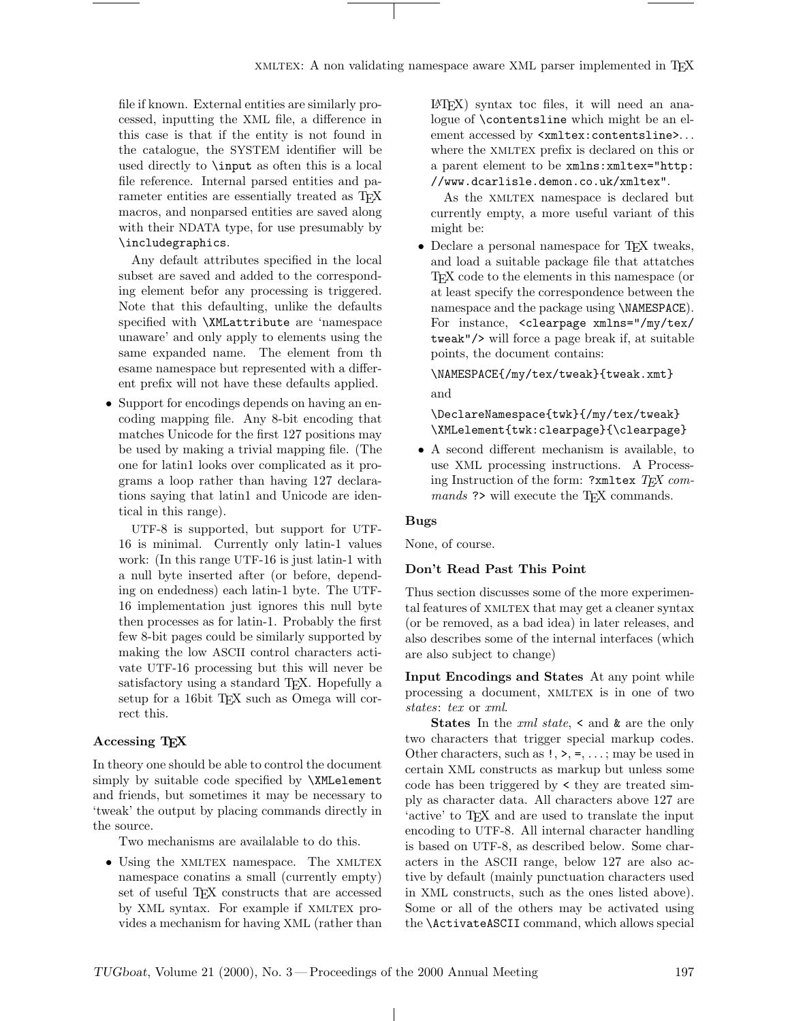file if known. External entities are similarly processed, inputting the XML file, a difference in this case is that if the entity is not found in the catalogue, the SYSTEM identifier will be used directly to \input as often this is a local file reference. Internal parsed entities and parameter entities are essentially treated as T<sub>EX</sub> macros, and nonparsed entities are saved along with their NDATA type, for use presumably by \includegraphics.

Any default attributes specified in the local subset are saved and added to the corresponding element befor any processing is triggered. Note that this defaulting, unlike the defaults specified with \XMLattribute are 'namespace unaware' and only apply to elements using the same expanded name. The element from th esame namespace but represented with a different prefix will not have these defaults applied.

• Support for encodings depends on having an encoding mapping file. Any 8-bit encoding that matches Unicode for the first 127 positions may be used by making a trivial mapping file. (The one for latin1 looks over complicated as it programs a loop rather than having 127 declarations saying that latin1 and Unicode are identical in this range).

UTF-8 is supported, but support for UTF-16 is minimal. Currently only latin-1 values work: (In this range UTF-16 is just latin-1 with a null byte inserted after (or before, depending on endedness) each latin-1 byte. The UTF-16 implementation just ignores this null byte then processes as for latin-1. Probably the first few 8-bit pages could be similarly supported by making the low ASCII control characters activate UTF-16 processing but this will never be satisfactory using a standard T<sub>EX</sub>. Hopefully a setup for a 16bit TEX such as Omega will correct this.

# Accessing T<sub>F</sub>X

In theory one should be able to control the document simply by suitable code specified by \XMLelement and friends, but sometimes it may be necessary to 'tweak' the output by placing commands directly in the source.

Two mechanisms are availalable to do this.

• Using the XMLTEX namespace. The XMLTEX namespace conatins a small (currently empty) set of useful TEX constructs that are accessed by XML syntax. For example if XMLTEX provides a mechanism for having XML (rather than LATEX) syntax toc files, it will need an analogue of \contentsline which might be an element accessed by  $\verb|<|$ xmltex:contentsline>... where the XMLTEX prefix is declared on this or a parent element to be xmlns: xmltex="http: //www.dcarlisle.demon.co.uk/xmltex".

As the XMLTEX namespace is declared but currently empty, a more useful variant of this might be:

• Declare a personal namespace for TEX tweaks, and load a suitable package file that attatches TEX code to the elements in this namespace (or at least specify the correspondence between the namespace and the package using \NAMESPACE). For instance, <clearpage xmlns="/my/tex/ tweak"/> will force a page break if, at suitable points, the document contains:

\NAMESPACE{/my/tex/tweak}{tweak.xmt} and

\DeclareNamespace{twk}{/my/tex/tweak} \XMLelement{twk:clearpage}{\clearpage}

• A second different mechanism is available, to use XML processing instructions. A Processing Instruction of the form: ?xmltex TEX commands ?> will execute the TEX commands.

### Bugs

None, of course.

### Don't Read Past This Point

Thus section discusses some of the more experimental features of XMLTEX that may get a cleaner syntax (or be removed, as a bad idea) in later releases, and also describes some of the internal interfaces (which are also subject to change)

Input Encodings and States At any point while processing a document, XMLTEX is in one of two states: tex or xml.

**States** In the  $xml state$ ,  $\lt$  and  $\&$  are the only two characters that trigger special markup codes. Other characters, such as !, >, =, . . . ; may be used in certain XML constructs as markup but unless some code has been triggered by < they are treated simply as character data. All characters above 127 are 'active' to TEX and are used to translate the input encoding to UTF-8. All internal character handling is based on UTF-8, as described below. Some characters in the ASCII range, below 127 are also active by default (mainly punctuation characters used in XML constructs, such as the ones listed above). Some or all of the others may be activated using the \ActivateASCII command, which allows special

 $\perp$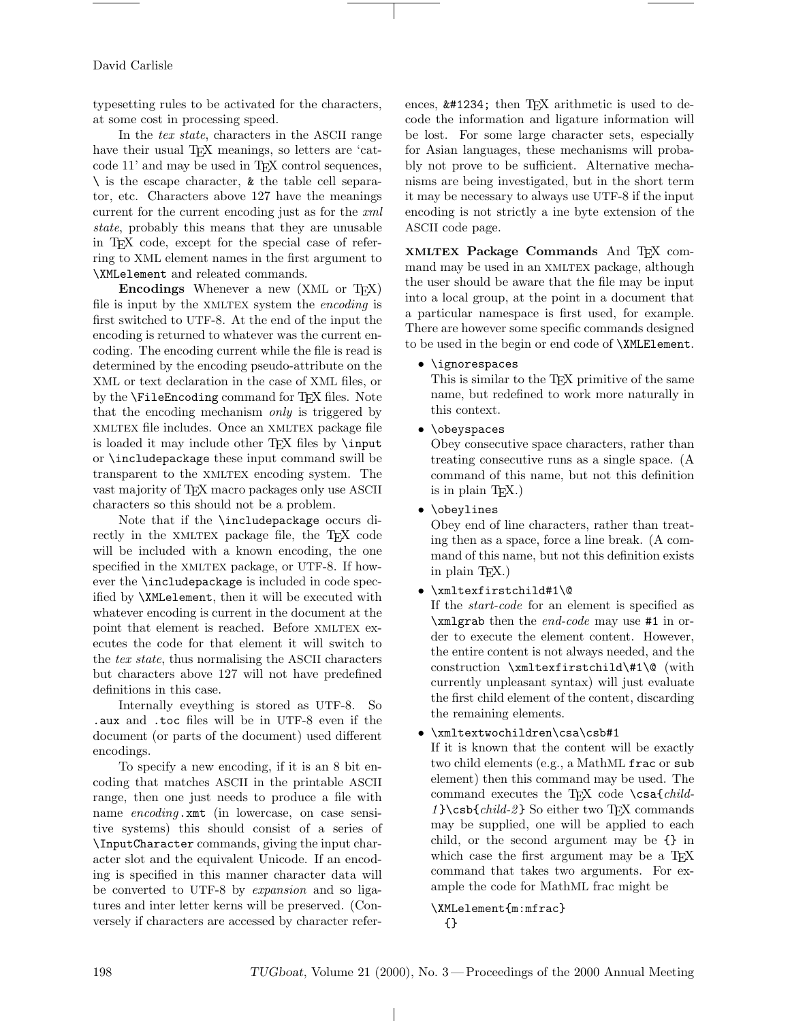### David Carlisle

typesetting rules to be activated for the characters, at some cost in processing speed.

In the tex state, characters in the ASCII range have their usual T<sub>EX</sub> meanings, so letters are 'catcode 11' and may be used in TEX control sequences,  $\setminus$  is the escape character,  $\&$  the table cell separator, etc. Characters above 127 have the meanings current for the current encoding just as for the xml state, probably this means that they are unusable in TEX code, except for the special case of referring to XML element names in the first argument to \XMLelement and releated commands.

Encodings Whenever a new (XML or T<sub>F</sub>X) file is input by the XMLTEX system the *encoding* is first switched to UTF-8. At the end of the input the encoding is returned to whatever was the current encoding. The encoding current while the file is read is determined by the encoding pseudo-attribute on the XML or text declaration in the case of XML files, or by the **\FileEncoding** command for T<sub>E</sub>X files. Note that the encoding mechanism only is triggered by XMLTEX file includes. Once an XMLTEX package file is loaded it may include other TEX files by \input or \includepackage these input command swill be transparent to the XMLTEX encoding system. The vast majority of T<sub>F</sub>X macro packages only use ASCII characters so this should not be a problem.

Note that if the \includepackage occurs directly in the XMLTEX package file, the TEX code will be included with a known encoding, the one specified in the XMLTEX package, or UTF-8. If however the \includepackage is included in code specified by \XMLelement, then it will be executed with whatever encoding is current in the document at the point that element is reached. Before XMLTEX executes the code for that element it will switch to the tex state, thus normalising the ASCII characters but characters above 127 will not have predefined definitions in this case.

Internally eveything is stored as UTF-8. So .aux and .toc files will be in UTF-8 even if the document (or parts of the document) used different encodings.

To specify a new encoding, if it is an 8 bit encoding that matches ASCII in the printable ASCII range, then one just needs to produce a file with name encoding.xmt (in lowercase, on case sensitive systems) this should consist of a series of \InputCharacter commands, giving the input character slot and the equivalent Unicode. If an encoding is specified in this manner character data will be converted to UTF-8 by expansion and so ligatures and inter letter kerns will be preserved. (Conversely if characters are accessed by character references,  $\&\#1234$ ; then T<sub>E</sub>X arithmetic is used to decode the information and ligature information will be lost. For some large character sets, especially for Asian languages, these mechanisms will probably not prove to be sufficient. Alternative mechanisms are being investigated, but in the short term it may be necessary to always use UTF-8 if the input encoding is not strictly a ine byte extension of the ASCII code page.

XMLTEX Package Commands And TEX command may be used in an XMLTEX package, although the user should be aware that the file may be input into a local group, at the point in a document that a particular namespace is first used, for example. There are however some specific commands designed to be used in the begin or end code of \XMLElement.

# • \ignorespaces

This is similar to the T<sub>EX</sub> primitive of the same name, but redefined to work more naturally in this context.

• \obeyspaces

Obey consecutive space characters, rather than treating consecutive runs as a single space. (A command of this name, but not this definition is in plain TEX.)

• \obeylines

Obey end of line characters, rather than treating then as a space, force a line break. (A command of this name, but not this definition exists in plain TEX.)

### • \xmltexfirstchild#1\@

If the start-code for an element is specified as \xmlgrab then the end-code may use #1 in order to execute the element content. However, the entire content is not always needed, and the construction \xmltexfirstchild\#1\@ (with currently unpleasant syntax) will just evaluate the first child element of the content, discarding the remaining elements.

# • \xmltextwochildren\csa\csb#1

If it is known that the content will be exactly two child elements (e.g., a MathML frac or sub element) then this command may be used. The command executes the TEX code \csa{child- $1$  } \csb{child-2} So either two T<sub>F</sub>X commands may be supplied, one will be applied to each child, or the second argument may be {} in which case the first argument may be a T<sub>E</sub>X command that takes two arguments. For example the code for MathML frac might be

### \XMLelement{m:mfrac} {}

 $\perp$